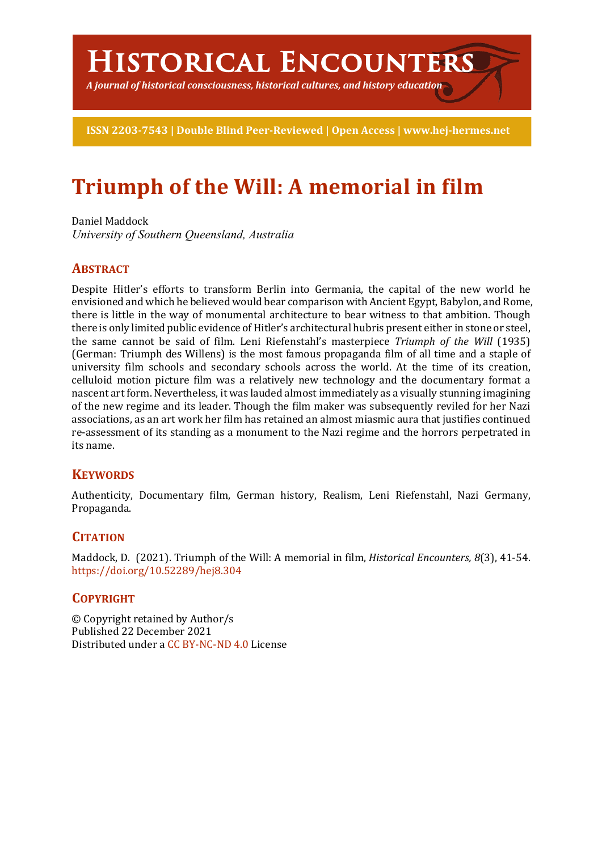# **Historical Encounters**

*A journal of historical consciousness, historical cultures, and history education*

**ISSN 2203-7543 | Double Blind Peer-Reviewed | Open Access | www.hej-hermes.net**

# **Triumph of the Will: A memorial in film**

Daniel Maddock *University of Southern Queensland, Australia*

# **ABSTRACT**

Despite Hitler's efforts to transform Berlin into Germania, the capital of the new world he envisioned and which he believed would bear comparison with Ancient Egypt, Babylon, and Rome, there is little in the way of monumental architecture to bear witness to that ambition. Though there is only limited public evidence of Hitler's architectural hubris present either in stone or steel, the same cannot be said of film. Leni Riefenstahl's masterpiece *Triumph of the Will* (1935) (German: Triumph des Willens) is the most famous propaganda film of all time and a staple of university film schools and secondary schools across the world. At the time of its creation, celluloid motion picture film was a relatively new technology and the documentary format a nascent art form. Nevertheless, it was lauded almost immediately as a visually stunning imagining of the new regime and its leader. Though the film maker was subsequently reviled for her Nazi associations, as an art work her film has retained an almost miasmic aura that justifies continued re-assessment of its standing as a monument to the Nazi regime and the horrors perpetrated in its name.

## **KEYWORDS**

Authenticity, Documentary film, German history, Realism, Leni Riefenstahl, Nazi Germany, Propaganda.

## **CITATION**

Maddock, D. (2021). Triumph of the Will: A memorial in film, *Historical Encounters, 8*(3), 41-54. https://doi.org/10.52289/hej8.304

# **COPYRIGHT**

© Copyright retained by Author/s Published 22 December 2021 Distributed under a CC BY-NC-ND 4.0 License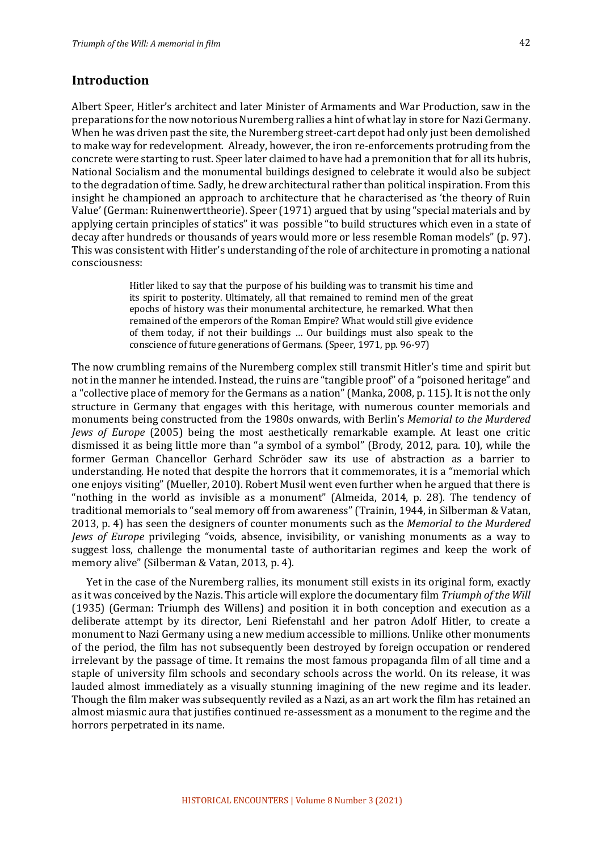#### **Introduction**

Albert Speer, Hitler's architect and later Minister of Armaments and War Production, saw in the preparations for the now notorious Nuremberg rallies a hint of what lay in store for Nazi Germany. When he was driven past the site, the Nuremberg street-cart depot had only just been demolished to make way for redevelopment. Already, however, the iron re-enforcements protruding from the concrete were starting to rust. Speer later claimed to have had a premonition that for all its hubris, National Socialism and the monumental buildings designed to celebrate it would also be subject to the degradation of time. Sadly, he drew architectural rather than political inspiration. From this insight he championed an approach to architecture that he characterised as 'the theory of Ruin Value' (German: Ruinenwerttheorie). Speer (1971) argued that by using "special materials and by applying certain principles of statics" it was possible "to build structures which even in a state of decay after hundreds or thousands of years would more or less resemble Roman models" (p. 97). This was consistent with Hitler's understanding of the role of architecture in promoting a national consciousness: 

> Hitler liked to say that the purpose of his building was to transmit his time and its spirit to posterity. Ultimately, all that remained to remind men of the great epochs of history was their monumental architecture, he remarked. What then remained of the emperors of the Roman Empire? What would still give evidence of them today, if not their buildings … Our buildings must also speak to the conscience of future generations of Germans. (Speer, 1971, pp. 96-97)

The now crumbling remains of the Nuremberg complex still transmit Hitler's time and spirit but not in the manner he intended. Instead, the ruins are "tangible proof" of a "poisoned heritage" and a "collective place of memory for the Germans as a nation" (Manka, 2008, p. 115). It is not the only structure in Germany that engages with this heritage, with numerous counter memorials and monuments being constructed from the 1980s onwards, with Berlin's *Memorial to the Murdered Jews of Europe* (2005) being the most aesthetically remarkable example. At least one critic dismissed it as being little more than "a symbol of a symbol" (Brody, 2012, para. 10), while the former German Chancellor Gerhard Schröder saw its use of abstraction as a barrier to understanding. He noted that despite the horrors that it commemorates, it is a "memorial which one enjoys visiting" (Mueller, 2010). Robert Musil went even further when he argued that there is "nothing in the world as invisible as a monument" (Almeida, 2014, p. 28). The tendency of traditional memorials to "seal memory off from awareness" (Trainin, 1944, in Silberman & Vatan, 2013, p. 4) has seen the designers of counter monuments such as the *Memorial to the Murdered Jews of Europe* privileging "voids, absence, invisibility, or vanishing monuments as a way to suggest loss, challenge the monumental taste of authoritarian regimes and keep the work of memory alive" (Silberman & Vatan, 2013, p. 4).

Yet in the case of the Nuremberg rallies, its monument still exists in its original form, exactly as it was conceived by the Nazis. This article will explore the documentary film *Triumph of the Will* (1935) (German: Triumph des Willens) and position it in both conception and execution as a deliberate attempt by its director, Leni Riefenstahl and her patron Adolf Hitler, to create a monument to Nazi Germany using a new medium accessible to millions. Unlike other monuments of the period, the film has not subsequently been destroyed by foreign occupation or rendered irrelevant by the passage of time. It remains the most famous propaganda film of all time and a staple of university film schools and secondary schools across the world. On its release, it was lauded almost immediately as a visually stunning imagining of the new regime and its leader. Though the film maker was subsequently reviled as a Nazi, as an art work the film has retained an almost miasmic aura that justifies continued re-assessment as a monument to the regime and the horrors perpetrated in its name.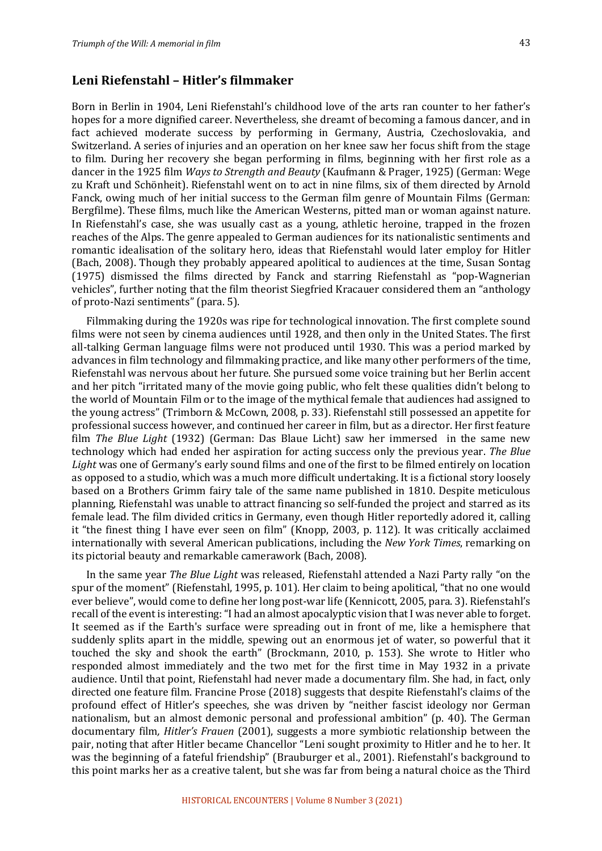#### **Leni Riefenstahl – Hitler's filmmaker**

Born in Berlin in 1904, Leni Riefenstahl's childhood love of the arts ran counter to her father's hopes for a more dignified career. Nevertheless, she dreamt of becoming a famous dancer, and in fact achieved moderate success by performing in Germany, Austria, Czechoslovakia, and Switzerland. A series of injuries and an operation on her knee saw her focus shift from the stage to film. During her recovery she began performing in films, beginning with her first role as a dancer in the 1925 film *Ways to Strength and Beauty* (Kaufmann & Prager, 1925) (German: Wege zu Kraft und Schönheit). Riefenstahl went on to act in nine films, six of them directed by Arnold Fanck, owing much of her initial success to the German film genre of Mountain Films (German: Bergfilme). These films, much like the American Westerns, pitted man or woman against nature. In Riefenstahl's case, she was usually cast as a young, athletic heroine, trapped in the frozen reaches of the Alps. The genre appealed to German audiences for its nationalistic sentiments and romantic idealisation of the solitary hero, ideas that Riefenstahl would later employ for Hitler (Bach, 2008). Though they probably appeared apolitical to audiences at the time, Susan Sontag (1975) dismissed the films directed by Fanck and starring Riefenstahl as "pop-Wagnerian vehicles", further noting that the film theorist Siegfried Kracauer considered them an "anthology of proto-Nazi sentiments" (para. 5).

Filmmaking during the 1920s was ripe for technological innovation. The first complete sound films were not seen by cinema audiences until 1928, and then only in the United States. The first all-talking German language films were not produced until 1930. This was a period marked by advances in film technology and filmmaking practice, and like many other performers of the time, Riefenstahl was nervous about her future. She pursued some voice training but her Berlin accent and her pitch "irritated many of the movie going public, who felt these qualities didn't belong to the world of Mountain Film or to the image of the mythical female that audiences had assigned to the young actress" (Trimborn & McCown, 2008, p. 33). Riefenstahl still possessed an appetite for professional success however, and continued her career in film, but as a director. Her first feature film *The Blue Light* (1932) (German: Das Blaue Licht) saw her immersed in the same new technology which had ended her aspiration for acting success only the previous year. *The Blue Light* was one of Germany's early sound films and one of the first to be filmed entirely on location as opposed to a studio, which was a much more difficult undertaking. It is a fictional story loosely based on a Brothers Grimm fairy tale of the same name published in 1810. Despite meticulous planning, Riefenstahl was unable to attract financing so self-funded the project and starred as its female lead. The film divided critics in Germany, even though Hitler reportedly adored it, calling it "the finest thing I have ever seen on film" (Knopp, 2003, p. 112). It was critically acclaimed internationally with several American publications, including the *New York Times*, remarking on its pictorial beauty and remarkable camerawork (Bach, 2008).

In the same year *The Blue Light* was released, Riefenstahl attended a Nazi Party rally "on the spur of the moment" (Riefenstahl, 1995, p. 101). Her claim to being apolitical, "that no one would ever believe", would come to define her long post-war life (Kennicott, 2005, para. 3). Riefenstahl's recall of the event is interesting:"I had an almost apocalyptic vision that I was never able to forget. It seemed as if the Earth's surface were spreading out in front of me, like a hemisphere that suddenly splits apart in the middle, spewing out an enormous jet of water, so powerful that it touched the sky and shook the earth" (Brockmann, 2010, p. 153). She wrote to Hitler who responded almost immediately and the two met for the first time in May 1932 in a private audience. Until that point, Riefenstahl had never made a documentary film. She had, in fact, only directed one feature film. Francine Prose (2018) suggests that despite Riefenstahl's claims of the profound effect of Hitler's speeches, she was driven by "neither fascist ideology nor German nationalism, but an almost demonic personal and professional ambition" (p. 40). The German documentary film*, Hitler's Frauen* (2001), suggests a more symbiotic relationship between the pair, noting that after Hitler became Chancellor "Leni sought proximity to Hitler and he to her. It was the beginning of a fateful friendship" (Brauburger et al., 2001). Riefenstahl's background to this point marks her as a creative talent, but she was far from being a natural choice as the Third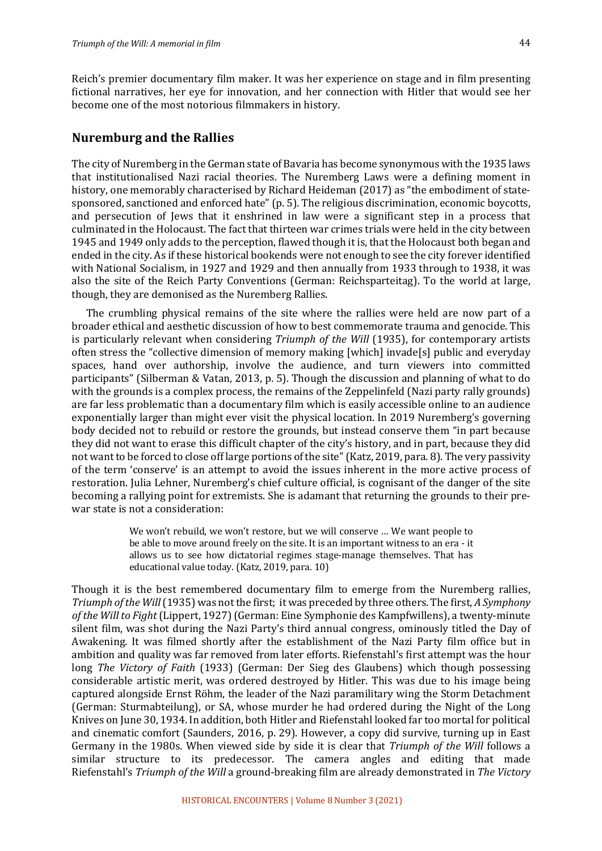Reich's premier documentary film maker. It was her experience on stage and in film presenting fictional narratives, her eye for innovation, and her connection with Hitler that would see her become one of the most notorious filmmakers in history.

#### **Nuremburg and the Rallies**

The city of Nuremberg in the German state of Bavaria has become synonymous with the 1935 laws that institutionalised Nazi racial theories. The Nuremberg Laws were a defining moment in history, one memorably characterised by Richard Heideman  $(2017)$  as "the embodiment of statesponsored, sanctioned and enforced hate" (p. 5). The religious discrimination, economic boycotts, and persecution of lews that it enshrined in law were a significant step in a process that culminated in the Holocaust. The fact that thirteen war crimes trials were held in the city between 1945 and 1949 only adds to the perception, flawed though it is, that the Holocaust both began and ended in the city. As if these historical bookends were not enough to see the city forever identified with National Socialism, in 1927 and 1929 and then annually from 1933 through to 1938, it was also the site of the Reich Party Conventions (German: Reichsparteitag). To the world at large, though, they are demonised as the Nuremberg Rallies.

The crumbling physical remains of the site where the rallies were held are now part of a broader ethical and aesthetic discussion of how to best commemorate trauma and genocide. This is particularly relevant when considering *Triumph of the Will* (1935), for contemporary artists often stress the "collective dimension of memory making [which] invade[s] public and everyday spaces, hand over authorship, involve the audience, and turn viewers into committed participants" (Silberman & Vatan, 2013, p. 5). Though the discussion and planning of what to do with the grounds is a complex process, the remains of the Zeppelinfeld (Nazi party rally grounds) are far less problematic than a documentary film which is easily accessible online to an audience exponentially larger than might ever visit the physical location. In 2019 Nuremberg's governing body decided not to rebuild or restore the grounds, but instead conserve them "in part because they did not want to erase this difficult chapter of the city's history, and in part, because they did not want to be forced to close off large portions of the site"(Katz, 2019, para. 8). The very passivity of the term 'conserve' is an attempt to avoid the issues inherent in the more active process of restoration. Julia Lehner, Nuremberg's chief culture official, is cognisant of the danger of the site becoming a rallying point for extremists. She is adamant that returning the grounds to their prewar state is not a consideration:

> We won't rebuild, we won't restore, but we will conserve … We want people to be able to move around freely on the site. It is an important witness to an era - it allows us to see how dictatorial regimes stage-manage themselves. That has educational value today. (Katz, 2019, para. 10)

Though it is the best remembered documentary film to emerge from the Nuremberg rallies, *Triumph of the Will* (1935) was not the first; it was preceded by three others. The first, *A Symphony* of the Will to Fight (Lippert, 1927) (German: Eine Symphonie des Kampfwillens), a twenty-minute silent film, was shot during the Nazi Party's third annual congress, ominously titled the Day of Awakening. It was filmed shortly after the establishment of the Nazi Party film office but in ambition and quality was far removed from later efforts. Riefenstahl's first attempt was the hour long *The Victory of Faith* (1933) (German: Der Sieg des Glaubens) which though possessing considerable artistic merit, was ordered destroyed by Hitler. This was due to his image being captured alongside Ernst Röhm, the leader of the Nazi paramilitary wing the Storm Detachment (German: Sturmabteilung), or SA, whose murder he had ordered during the Night of the Long Knives on June 30, 1934. In addition, both Hitler and Riefenstahl looked far too mortal for political and cinematic comfort (Saunders, 2016, p. 29). However, a copy did survive, turning up in East Germany in the 1980s. When viewed side by side it is clear that *Triumph of the Will* follows a similar structure to its predecessor. The camera angles and editing that made Riefenstahl's *Triumph of the Will* a ground-breaking film are already demonstrated in *The Victory*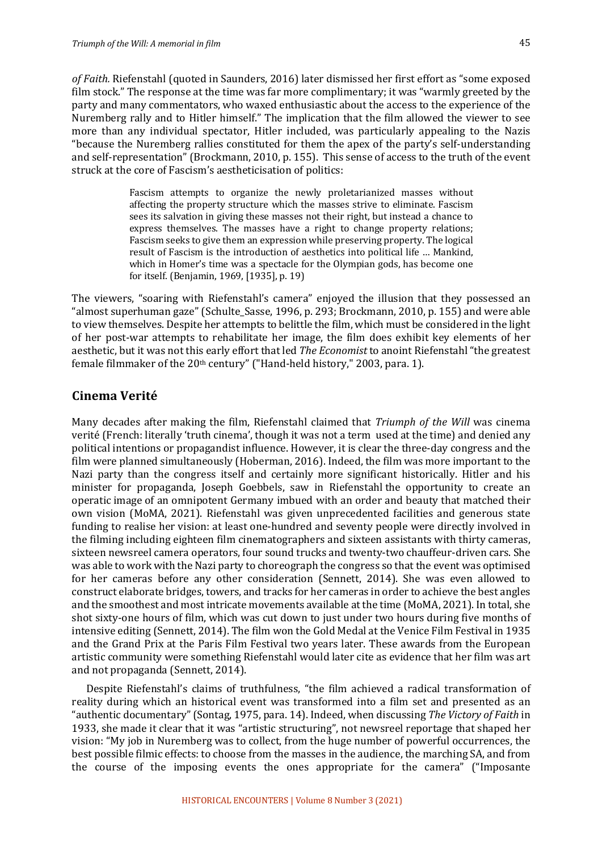of Faith. Riefenstahl (quoted in Saunders, 2016) later dismissed her first effort as "some exposed film stock." The response at the time was far more complimentary; it was "warmly greeted by the party and many commentators, who waxed enthusiastic about the access to the experience of the Nuremberg rally and to Hitler himself." The implication that the film allowed the viewer to see more than any individual spectator, Hitler included, was particularly appealing to the Nazis "because the Nuremberg rallies constituted for them the apex of the party's self-understanding and self-representation" (Brockmann, 2010, p. 155). This sense of access to the truth of the event struck at the core of Fascism's aestheticisation of politics:

> Fascism attempts to organize the newly proletarianized masses without affecting the property structure which the masses strive to eliminate. Fascism sees its salvation in giving these masses not their right, but instead a chance to express themselves. The masses have a right to change property relations; Fascism seeks to give them an expression while preserving property. The logical result of Fascism is the introduction of aesthetics into political life … Mankind, which in Homer's time was a spectacle for the Olympian gods, has become one for itself. (Benjamin, 1969, [1935], p. 19)

The viewers, "soaring with Riefenstahl's camera" enjoyed the illusion that they possessed an "almost superhuman gaze" (Schulte\_Sasse, 1996, p. 293; Brockmann, 2010, p. 155) and were able to view themselves. Despite her attempts to belittle the film, which must be considered in the light of her post-war attempts to rehabilitate her image, the film does exhibit key elements of her aesthetic, but it was not this early effort that led *The Economist* to anoint Riefenstahl "the greatest female filmmaker of the 20th century" ("Hand-held history," 2003, para. 1).

#### **Cinema Verité**

Many decades after making the film, Riefenstahl claimed that *Triumph of the Will* was cinema verité (French: literally 'truth cinema', though it was not a term used at the time) and denied any political intentions or propagandist influence. However, it is clear the three-day congress and the film were planned simultaneously (Hoberman, 2016). Indeed, the film was more important to the Nazi party than the congress itself and certainly more significant historically. Hitler and his minister for propaganda, Joseph Goebbels, saw in Riefenstahl the opportunity to create an operatic image of an omnipotent Germany imbued with an order and beauty that matched their own vision (MoMA, 2021). Riefenstahl was given unprecedented facilities and generous state funding to realise her vision: at least one-hundred and seventy people were directly involved in the filming including eighteen film cinematographers and sixteen assistants with thirty cameras, sixteen newsreel camera operators, four sound trucks and twenty-two chauffeur-driven cars. She was able to work with the Nazi party to choreograph the congress so that the event was optimised for her cameras before any other consideration (Sennett, 2014). She was even allowed to construct elaborate bridges, towers, and tracks for her cameras in order to achieve the best angles and the smoothest and most intricate movements available at the time (MoMA, 2021). In total, she shot sixty-one hours of film, which was cut down to just under two hours during five months of intensive editing (Sennett, 2014). The film won the Gold Medal at the Venice Film Festival in 1935 and the Grand Prix at the Paris Film Festival two years later. These awards from the European artistic community were something Riefenstahl would later cite as evidence that her film was art and not propaganda (Sennett, 2014).

Despite Riefenstahl's claims of truthfulness, "the film achieved a radical transformation of reality during which an historical event was transformed into a film set and presented as an "authentic documentary" (Sontag, 1975, para. 14). Indeed, when discussing *The Victory of Faith* in 1933, she made it clear that it was "artistic structuring", not newsreel reportage that shaped her vision: "My job in Nuremberg was to collect, from the huge number of powerful occurrences, the best possible filmic effects: to choose from the masses in the audience, the marching SA, and from the course of the imposing events the ones appropriate for the camera" ("Imposante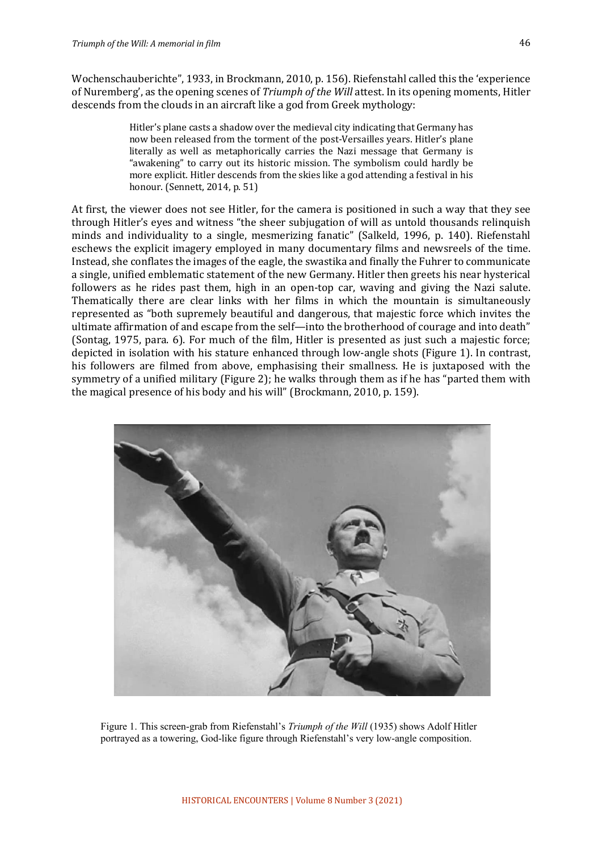Wochenschauberichte", 1933, in Brockmann, 2010, p. 156). Riefenstahl called this the 'experience of Nuremberg', as the opening scenes of *Triumph of the Will* attest. In its opening moments, Hitler descends from the clouds in an aircraft like a god from Greek mythology: 

> Hitler's plane casts a shadow over the medieval city indicating that Germany has now been released from the torment of the post-Versailles years. Hitler's plane literally as well as metaphorically carries the Nazi message that Germany is "awakening" to carry out its historic mission. The symbolism could hardly be more explicit. Hitler descends from the skies like a god attending a festival in his honour. (Sennett, 2014, p. 51)

At first, the viewer does not see Hitler, for the camera is positioned in such a way that they see through Hitler's eyes and witness "the sheer subjugation of will as untold thousands relinquish minds and individuality to a single, mesmerizing fanatic" (Salkeld, 1996, p. 140). Riefenstahl eschews the explicit imagery employed in many documentary films and newsreels of the time. Instead, she conflates the images of the eagle, the swastika and finally the Fuhrer to communicate a single, unified emblematic statement of the new Germany. Hitler then greets his near hysterical followers as he rides past them, high in an open-top car, waving and giving the Nazi salute. Thematically there are clear links with her films in which the mountain is simultaneously represented as "both supremely beautiful and dangerous, that majestic force which invites the ultimate affirmation of and escape from the self—into the brotherhood of courage and into death" (Sontag, 1975, para. 6). For much of the film, Hitler is presented as just such a majestic force; depicted in isolation with his stature enhanced through low-angle shots (Figure 1). In contrast, his followers are filmed from above, emphasising their smallness. He is juxtaposed with the symmetry of a unified military (Figure 2); he walks through them as if he has "parted them with the magical presence of his body and his will" (Brockmann, 2010, p. 159).



Figure 1. This screen-grab from Riefenstahl's *Triumph of the Will* (1935) shows Adolf Hitler portrayed as a towering, God-like figure through Riefenstahl's very low-angle composition.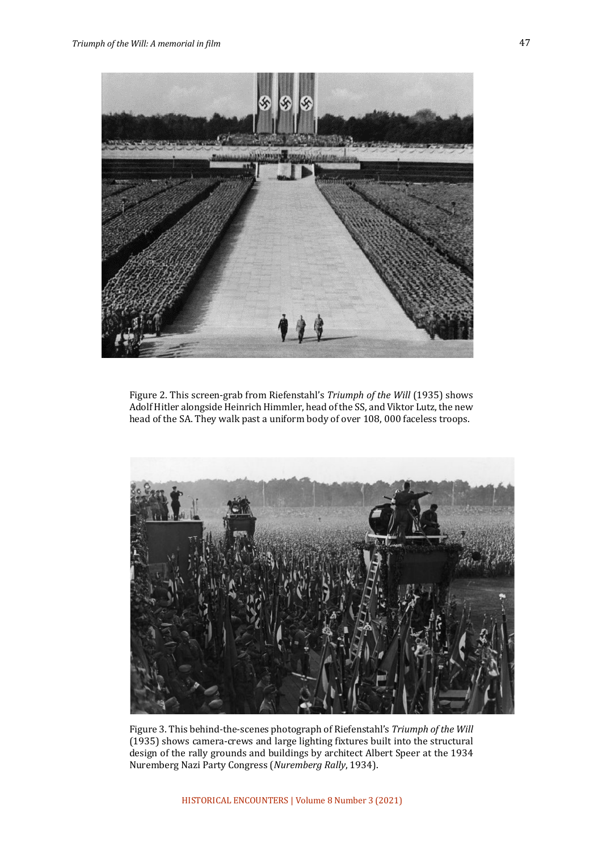

Figure 2. This screen-grab from Riefenstahl's *Triumph of the Will* (1935) shows Adolf Hitler alongside Heinrich Himmler, head of the SS, and Viktor Lutz, the new head of the SA. They walk past a uniform body of over 108, 000 faceless troops.



Figure 3. This behind-the-scenes photograph of Riefenstahl's *Triumph of the Will* (1935) shows camera-crews and large lighting fixtures built into the structural design of the rally grounds and buildings by architect Albert Speer at the 1934 Nuremberg Nazi Party Congress (*Nuremberg Rally*, 1934).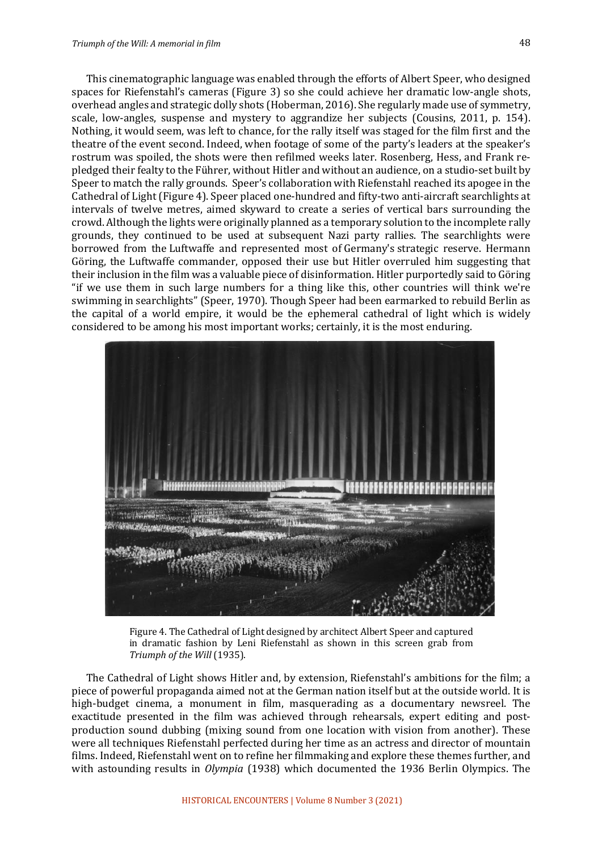This cinematographic language was enabled through the efforts of Albert Speer, who designed spaces for Riefenstahl's cameras (Figure 3) so she could achieve her dramatic low-angle shots, overhead angles and strategic dolly shots (Hoberman, 2016). She regularly made use of symmetry, scale, low-angles, suspense and mystery to aggrandize her subjects (Cousins, 2011, p. 154). Nothing, it would seem, was left to chance, for the rally itself was staged for the film first and the theatre of the event second. Indeed, when footage of some of the party's leaders at the speaker's rostrum was spoiled, the shots were then refilmed weeks later. Rosenberg, Hess, and Frank repledged their fealty to the Führer, without Hitler and without an audience, on a studio-set built by Speer to match the rally grounds. Speer's collaboration with Riefenstahl reached its apogee in the Cathedral of Light (Figure 4). Speer placed one-hundred and fifty-two anti-aircraft searchlights at intervals of twelve metres, aimed skyward to create a series of vertical bars surrounding the crowd. Although the lights were originally planned as a temporary solution to the incomplete rally grounds, they continued to be used at subsequent Nazi party rallies. The searchlights were borrowed from the Luftwaffe and represented most of Germany's strategic reserve. Hermann Göring, the Luftwaffe commander, opposed their use but Hitler overruled him suggesting that their inclusion in the film was a valuable piece of disinformation. Hitler purportedly said to Göring "if we use them in such large numbers for a thing like this, other countries will think we're swimming in searchlights" (Speer, 1970). Though Speer had been earmarked to rebuild Berlin as the capital of a world empire, it would be the ephemeral cathedral of light which is widely considered to be among his most important works; certainly, it is the most enduring.



Figure 4. The Cathedral of Light designed by architect Albert Speer and captured in dramatic fashion by Leni Riefenstahl as shown in this screen grab from *Triumph of the Will* (1935).

The Cathedral of Light shows Hitler and, by extension, Riefenstahl's ambitions for the film; a piece of powerful propaganda aimed not at the German nation itself but at the outside world. It is high-budget cinema, a monument in film, masquerading as a documentary newsreel. The exactitude presented in the film was achieved through rehearsals, expert editing and postproduction sound dubbing (mixing sound from one location with vision from another). These were all techniques Riefenstahl perfected during her time as an actress and director of mountain films. Indeed, Riefenstahl went on to refine her filmmaking and explore these themes further, and with astounding results in *Olympia* (1938) which documented the 1936 Berlin Olympics. The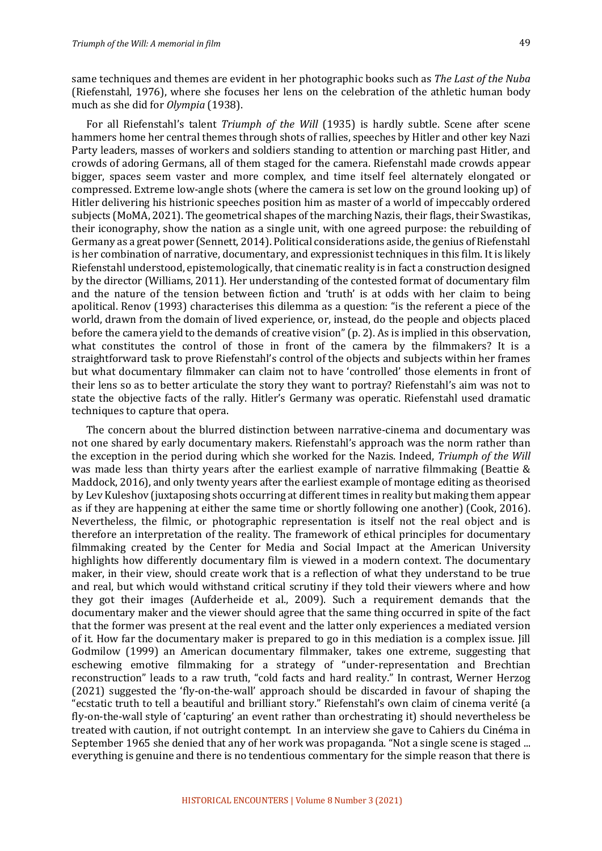same techniques and themes are evident in her photographic books such as *The Last of the Nuba* (Riefenstahl, 1976), where she focuses her lens on the celebration of the athletic human body much as she did for *Olympia* (1938).

For all Riefenstahl's talent *Triumph of the Will* (1935) is hardly subtle. Scene after scene hammers home her central themes through shots of rallies, speeches by Hitler and other key Nazi Party leaders, masses of workers and soldiers standing to attention or marching past Hitler, and crowds of adoring Germans, all of them staged for the camera. Riefenstahl made crowds appear bigger, spaces seem vaster and more complex, and time itself feel alternately elongated or compressed. Extreme low-angle shots (where the camera is set low on the ground looking up) of Hitler delivering his histrionic speeches position him as master of a world of impeccably ordered subjects (MoMA, 2021). The geometrical shapes of the marching Nazis, their flags, their Swastikas, their iconography, show the nation as a single unit, with one agreed purpose: the rebuilding of Germany as a great power (Sennett, 2014). Political considerations aside, the genius of Riefenstahl is her combination of narrative, documentary, and expressionist techniques in this film. It is likely Riefenstahl understood, epistemologically, that cinematic reality is in fact a construction designed by the director (Williams, 2011). Her understanding of the contested format of documentary film and the nature of the tension between fiction and 'truth' is at odds with her claim to being apolitical. Renov (1993) characterises this dilemma as a question: "is the referent a piece of the world, drawn from the domain of lived experience, or, instead, do the people and objects placed before the camera yield to the demands of creative vision" (p. 2). As is implied in this observation, what constitutes the control of those in front of the camera by the filmmakers? It is a straightforward task to prove Riefenstahl's control of the objects and subjects within her frames but what documentary filmmaker can claim not to have 'controlled' those elements in front of their lens so as to better articulate the story they want to portray? Riefenstahl's aim was not to state the objective facts of the rally. Hitler's Germany was operatic. Riefenstahl used dramatic techniques to capture that opera.

The concern about the blurred distinction between narrative-cinema and documentary was not one shared by early documentary makers. Riefenstahl's approach was the norm rather than the exception in the period during which she worked for the Nazis. Indeed, *Triumph of the Will* was made less than thirty years after the earliest example of narrative filmmaking (Beattie & Maddock, 2016), and only twenty years after the earliest example of montage editing as theorised by Lev Kuleshov (juxtaposing shots occurring at different times in reality but making them appear as if they are happening at either the same time or shortly following one another) (Cook, 2016). Nevertheless, the filmic, or photographic representation is itself not the real object and is therefore an interpretation of the reality. The framework of ethical principles for documentary filmmaking created by the Center for Media and Social Impact at the American University highlights how differently documentary film is viewed in a modern context. The documentary maker, in their view, should create work that is a reflection of what they understand to be true and real, but which would withstand critical scrutiny if they told their viewers where and how they got their images (Aufderheide et al., 2009). Such a requirement demands that the documentary maker and the viewer should agree that the same thing occurred in spite of the fact that the former was present at the real event and the latter only experiences a mediated version of it. How far the documentary maker is prepared to go in this mediation is a complex issue. Jill Godmilow (1999) an American documentary filmmaker, takes one extreme, suggesting that eschewing emotive filmmaking for a strategy of "under-representation and Brechtian reconstruction" leads to a raw truth, "cold facts and hard reality." In contrast, Werner Herzog (2021) suggested the 'fly-on-the-wall' approach should be discarded in favour of shaping the "ecstatic truth to tell a beautiful and brilliant story." Riefenstahl's own claim of cinema verité (a fly-on-the-wall style of 'capturing' an event rather than orchestrating it) should nevertheless be treated with caution, if not outright contempt. In an interview she gave to Cahiers du Cinéma in September 1965 she denied that any of her work was propaganda. "Not a single scene is staged ... everything is genuine and there is no tendentious commentary for the simple reason that there is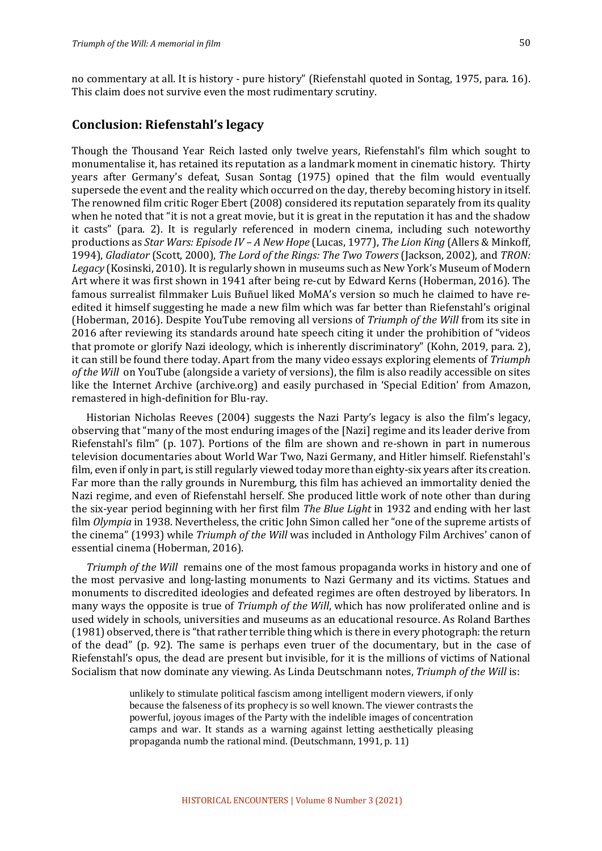no commentary at all. It is history - pure history" (Riefenstahl quoted in Sontag, 1975, para. 16). This claim does not survive even the most rudimentary scrutiny. 

#### **Conclusion: Riefenstahl's legacy**

Though the Thousand Year Reich lasted only twelve years, Riefenstahl's film which sought to monumentalise it, has retained its reputation as a landmark moment in cinematic history. Thirty years after Germany's defeat, Susan Sontag (1975) opined that the film would eventually supersede the event and the reality which occurred on the day, thereby becoming history in itself. The renowned film critic Roger Ebert (2008) considered its reputation separately from its quality when he noted that "it is not a great movie, but it is great in the reputation it has and the shadow it casts" (para. 2). It is regularly referenced in modern cinema, including such noteworthy productions as *Star Wars: Episode IV – A New Hope* (Lucas, 1977), *The Lion King* (Allers & Minkoff, 1994), *Gladiator* (Scott, 2000), *The Lord of the Rings: The Two Towers* (Jackson, 2002), and *TRON: Legacy* (Kosinski, 2010). It is regularly shown in museums such as New York's Museum of Modern Art where it was first shown in 1941 after being re-cut by Edward Kerns (Hoberman, 2016). The famous surrealist filmmaker Luis Buñuel liked MoMA's version so much he claimed to have reedited it himself suggesting he made a new film which was far better than Riefenstahl's original (Hoberman, 2016). Despite YouTube removing all versions of *Triumph of the Will* from its site in 2016 after reviewing its standards around hate speech citing it under the prohibition of "videos that promote or glorify Nazi ideology, which is inherently discriminatory" (Kohn, 2019, para. 2), it can still be found there today. Apart from the many video essays exploring elements of *Triumph of the Will* on YouTube (alongside a variety of versions), the film is also readily accessible on sites like the Internet Archive (archive.org) and easily purchased in 'Special Edition' from Amazon, remastered in high-definition for Blu-ray.

Historian Nicholas Reeves (2004) suggests the Nazi Party's legacy is also the film's legacy, observing that "many of the most enduring images of the [Nazi] regime and its leader derive from Riefenstahl's film" (p. 107). Portions of the film are shown and re-shown in part in numerous television documentaries about World War Two, Nazi Germany, and Hitler himself. Riefenstahl's film, even if only in part, is still regularly viewed today more than eighty-six years after its creation. Far more than the rally grounds in Nuremburg, this film has achieved an immortality denied the Nazi regime, and even of Riefenstahl herself. She produced little work of note other than during the six-year period beginning with her first film *The Blue Light* in 1932 and ending with her last film *Olympia* in 1938. Nevertheless, the critic John Simon called her "one of the supreme artists of the cinema" (1993) while *Triumph of the Will* was included in Anthology Film Archives' canon of essential cinema (Hoberman, 2016).

*Triumph of the Will* remains one of the most famous propaganda works in history and one of the most pervasive and long-lasting monuments to Nazi Germany and its victims. Statues and monuments to discredited ideologies and defeated regimes are often destroyed by liberators. In many ways the opposite is true of *Triumph of the Will*, which has now proliferated online and is used widely in schools, universities and museums as an educational resource. As Roland Barthes (1981) observed, there is "that rather terrible thing which is there in every photograph: the return of the dead" (p. 92). The same is perhaps even truer of the documentary, but in the case of Riefenstahl's opus, the dead are present but invisible, for it is the millions of victims of National Socialism that now dominate any viewing. As Linda Deutschmann notes, *Triumph of the Will* is:

> unlikely to stimulate political fascism among intelligent modern viewers, if only because the falseness of its prophecy is so well known. The viewer contrasts the powerful, joyous images of the Party with the indelible images of concentration camps and war. It stands as a warning against letting aesthetically pleasing propaganda numb the rational mind. (Deutschmann, 1991, p. 11)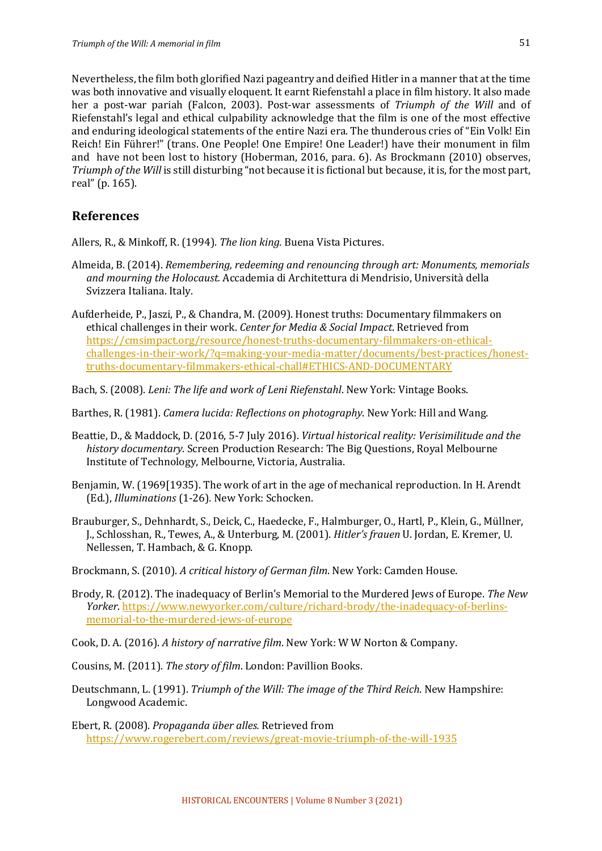Nevertheless, the film both glorified Nazi pageantry and deified Hitler in a manner that at the time was both innovative and visually eloquent. It earnt Riefenstahl a place in film history. It also made her a post-war pariah (Falcon, 2003). Post-war assessments of *Triumph of the Will* and of Riefenstahl's legal and ethical culpability acknowledge that the film is one of the most effective and enduring ideological statements of the entire Nazi era. The thunderous cries of "Ein Volk! Ein Reich! Ein Führer!" (trans. One People! One Empire! One Leader!) have their monument in film and have not been lost to history (Hoberman, 2016, para.  $6$ ). As Brockmann (2010) observes, *Triumph of the Will* is still disturbing "not because it is fictional but because, it is, for the most part, real" (p. 165).

#### **References**

Allers, R., & Minkoff, R. (1994). *The lion king.* Buena Vista Pictures.

- Almeida, B. (2014). *Remembering, redeeming and renouncing through art: Monuments, memorials* and mourning the Holocaust. Accademia di Architettura di Mendrisio, Università della Svizzera Italiana. Italy.
- Aufderheide, P., Jaszi, P., & Chandra, M. (2009). Honest truths: Documentary filmmakers on ethical challenges in their work. *Center for Media & Social Impact*. Retrieved from https://cmsimpact.org/resource/honest-truths-documentary-filmmakers-on-ethicalchallenges-in-their-work/?q=making-your-media-matter/documents/best-practices/honesttruths-documentary-filmmakers-ethical-chall#ETHICS-AND-DOCUMENTARY
- Bach, S. (2008). *Leni: The life and work of Leni Riefenstahl*. New York: Vintage Books.
- Barthes, R. (1981). *Camera lucida: Reflections on photography*. New York: Hill and Wang.
- Beattie, D., & Maddock, D. (2016, 5-7 July 2016). *Virtual historical reality: Verisimilitude and the history documentary*. Screen Production Research: The Big Questions, Royal Melbourne Institute of Technology, Melbourne, Victoria, Australia.
- Benjamin, W. (1969[1935]. The work of art in the age of mechanical reproduction. In H. Arendt (Ed.), *Illuminations* (1-26). New York: Schocken.
- Brauburger, S., Dehnhardt, S., Deick, C., Haedecke, F., Halmburger, O., Hartl, P., Klein, G., Müllner, J., Schlosshan, R., Tewes, A., & Unterburg, M. (2001). *Hitler's frauen* U. Jordan, E. Kremer, U. Nellessen, T. Hambach, & G. Knopp.
- Brockmann, S. (2010). A critical history of German film. New York: Camden House.
- Brody, R. (2012). The inadequacy of Berlin's Memorial to the Murdered Iews of Europe. The New *Yorker*. https://www.newyorker.com/culture/richard-brody/the-inadequacy-of-berlinsmemorial-to-the-murdered-jews-of-europe
- Cook, D. A. (2016). A history of narrative film. New York: W W Norton & Company.
- Cousins, M. (2011). *The story of film*. London: Pavillion Books.
- Deutschmann, L. (1991). *Triumph of the Will: The image of the Third Reich*. New Hampshire: Longwood Academic.
- Ebert, R. (2008). *Propaganda über alles.* Retrieved from https://www.rogerebert.com/reviews/great-movie-triumph-of-the-will-1935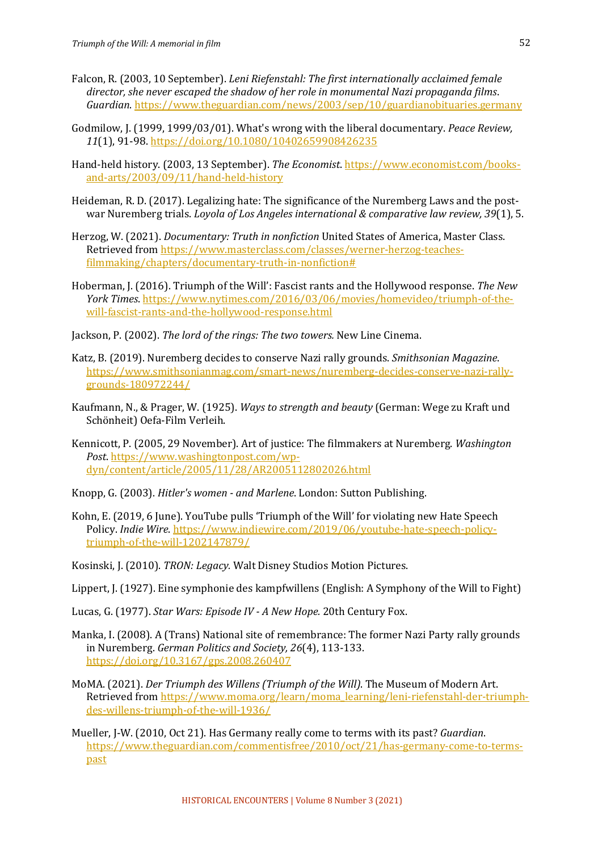- Falcon, R. (2003, 10 September). *Leni Riefenstahl: The first internationally acclaimed female* director, she never escaped the shadow of her role in monumental Nazi propaganda films. *Guardian*. https://www.theguardian.com/news/2003/sep/10/guardianobituaries.germany
- Godmilow, J. (1999, 1999/03/01). What's wrong with the liberal documentary. *Peace Review*, *11*(1), 91-98. https://doi.org/10.1080/10402659908426235
- Hand-held history. (2003, 13 September). *The Economist*. https://www.economist.com/booksand-arts/2003/09/11/hand-held-history
- Heideman, R. D. (2017). Legalizing hate: The significance of the Nuremberg Laws and the postwar Nuremberg trials. *Loyola of Los Angeles international & comparative law review, 39*(1), 5.
- Herzog, W. (2021). *Documentary: Truth in nonfiction* United States of America, Master Class. Retrieved from https://www.masterclass.com/classes/werner-herzog-teachesfilmmaking/chapters/documentary-truth-in-nonfiction#
- Hoberman, J. (2016). Triumph of the Will': Fascist rants and the Hollywood response. *The New York Times*. https://www.nytimes.com/2016/03/06/movies/homevideo/triumph-of-thewill-fascist-rants-and-the-hollywood-response.html
- Jackson, P. (2002). *The lord of the rings: The two towers*. New Line Cinema.
- Katz, B. (2019). Nuremberg decides to conserve Nazi rally grounds. Smithsonian Magazine. https://www.smithsonianmag.com/smart-news/nuremberg-decides-conserve-nazi-rallygrounds-180972244/
- Kaufmann, N., & Prager, W. (1925). *Ways to strength and beauty* (German: Wege zu Kraft und Schönheit) Oefa-Film Verleih.
- Kennicott, P. (2005, 29 November). Art of justice: The filmmakers at Nuremberg. *Washington Post*. https://www.washingtonpost.com/wpdyn/content/article/2005/11/28/AR2005112802026.html
- Knopp, G. (2003). *Hitler's women and Marlene*. London: Sutton Publishing.
- Kohn, E. (2019, 6 June). YouTube pulls 'Triumph of the Will' for violating new Hate Speech Policy. *Indie Wire*. https://www.indiewire.com/2019/06/youtube-hate-speech-policytriumph-of-the-will-1202147879/
- Kosinski, J. (2010). *TRON: Legacy.* Walt Disney Studios Motion Pictures.
- Lippert, J. (1927). Eine symphonie des kampfwillens (English: A Symphony of the Will to Fight)
- Lucas, G. (1977). *Star Wars: Episode IV A New Hope.* 20th Century Fox.
- Manka, I. (2008). A (Trans) National site of remembrance: The former Nazi Party rally grounds in Nuremberg. *German Politics and Society, 26*(4), 113-133. https://doi.org/10.3167/gps.2008.260407
- MoMA. (2021). *Der Triumph des Willens (Triumph of the Will)*. The Museum of Modern Art. Retrieved from https://www.moma.org/learn/moma\_learning/leni-riefenstahl-der-triumphdes-willens-triumph-of-the-will-1936/
- Mueller, J-W. (2010, Oct 21). Has Germany really come to terms with its past? *Guardian*. https://www.theguardian.com/commentisfree/2010/oct/21/has-germany-come-to-termspast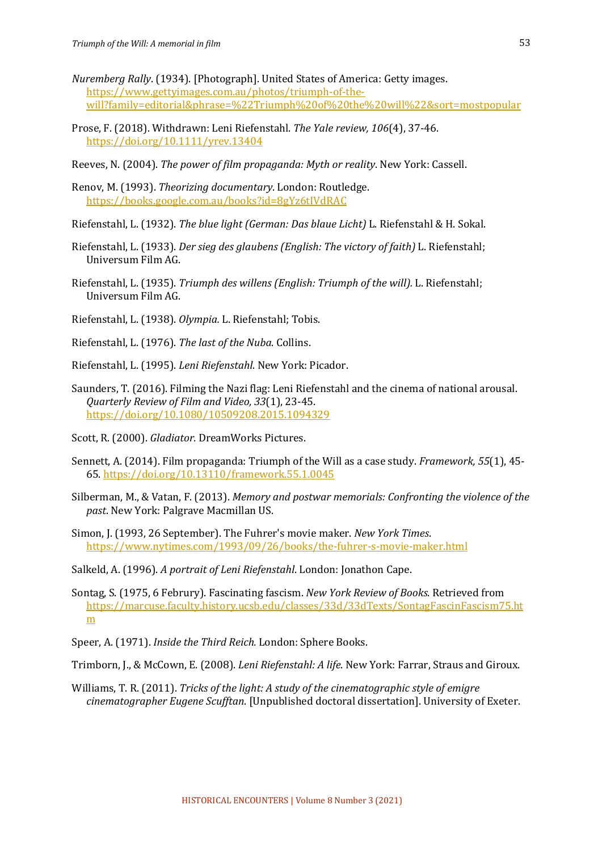- *Nuremberg Rally.* (1934). [Photograph]. United States of America: Getty images. https://www.gettyimages.com.au/photos/triumph-of-thewill?family=editorial&phrase=%22Triumph%20of%20the%20will%22&sort=mostpopular
- Prose, F. (2018). Withdrawn: Leni Riefenstahl. The Yale review, 106(4), 37-46. https://doi.org/10.1111/yrev.13404
- Reeves, N. (2004). *The power of film propaganda: Myth or reality*. New York: Cassell.
- Renov, M. (1993). *Theorizing documentary*. London: Routledge. https://books.google.com.au/books?id=8gYz6tIVdRAC
- Riefenstahl, L. (1932). *The blue light (German: Das blaue Licht)* L. Riefenstahl & H. Sokal.
- Riefenstahl, L. (1933). *Der sieg des glaubens (English: The victory of faith)* L. Riefenstahl; Universum Film AG.
- Riefenstahl, L. (1935). *Triumph des willens (English: Triumph of the will).* L. Riefenstahl: Universum Film AG.
- Riefenstahl, L. (1938). *Olympia.* L. Riefenstahl; Tobis.
- Riefenstahl, L. (1976). The last of the Nuba. Collins.
- Riefenstahl, L. (1995). *Leni Riefenstahl*. New York: Picador.
- Saunders, T. (2016). Filming the Nazi flag: Leni Riefenstahl and the cinema of national arousal. *Quarterly Review of Film and Video, 33*(1), 23-45. https://doi.org/10.1080/10509208.2015.1094329
- Scott, R. (2000). *Gladiator*. DreamWorks Pictures.
- Sennett, A. (2014). Film propaganda: Triumph of the Will as a case study. *Framework*, 55(1), 45-65. https://doi.org/10.13110/framework.55.1.0045
- Silberman, M., & Vatan, F. (2013). *Memory and postwar memorials: Confronting the violence of the past*. New York: Palgrave Macmillan US.
- Simon, J. (1993, 26 September). The Fuhrer's movie maker. *New York Times*. https://www.nytimes.com/1993/09/26/books/the-fuhrer-s-movie-maker.html
- Salkeld, A. (1996). *A portrait of Leni Riefenstahl*. London: Jonathon Cape.
- Sontag, S. (1975, 6 Februry). Fascinating fascism. *New York Review of Books*. Retrieved from https://marcuse.faculty.history.ucsb.edu/classes/33d/33dTexts/SontagFascinFascism75.ht m
- Speer, A. (1971). *Inside the Third Reich.* London: Sphere Books.
- Trimborn, J., & McCown, E. (2008). *Leni Riefenstahl: A life*. New York: Farrar, Straus and Giroux.
- Williams, T. R. (2011). *Tricks of the light: A study of the cinematographic style of emigre cinematographer Eugene Scufftan*. [Unpublished doctoral dissertation]. University of Exeter.